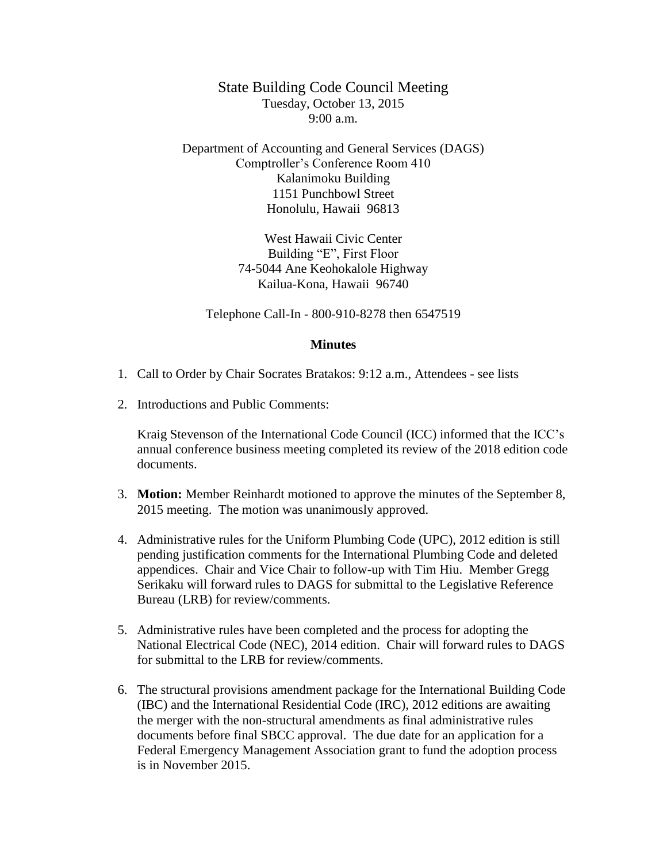State Building Code Council Meeting Tuesday, October 13, 2015 9:00 a.m.

Department of Accounting and General Services (DAGS) Comptroller's Conference Room 410 Kalanimoku Building 1151 Punchbowl Street Honolulu, Hawaii 96813

> West Hawaii Civic Center Building "E", First Floor 74-5044 Ane Keohokalole Highway Kailua-Kona, Hawaii 96740

Telephone Call-In - 800-910-8278 then 6547519

## **Minutes**

- 1. Call to Order by Chair Socrates Bratakos: 9:12 a.m., Attendees see lists
- 2. Introductions and Public Comments:

Kraig Stevenson of the International Code Council (ICC) informed that the ICC's annual conference business meeting completed its review of the 2018 edition code documents.

- 3. **Motion:** Member Reinhardt motioned to approve the minutes of the September 8, 2015 meeting. The motion was unanimously approved.
- 4. Administrative rules for the Uniform Plumbing Code (UPC), 2012 edition is still pending justification comments for the International Plumbing Code and deleted appendices. Chair and Vice Chair to follow-up with Tim Hiu. Member Gregg Serikaku will forward rules to DAGS for submittal to the Legislative Reference Bureau (LRB) for review/comments.
- 5. Administrative rules have been completed and the process for adopting the National Electrical Code (NEC), 2014 edition. Chair will forward rules to DAGS for submittal to the LRB for review/comments.
- 6. The structural provisions amendment package for the International Building Code (IBC) and the International Residential Code (IRC), 2012 editions are awaiting the merger with the non-structural amendments as final administrative rules documents before final SBCC approval. The due date for an application for a Federal Emergency Management Association grant to fund the adoption process is in November 2015.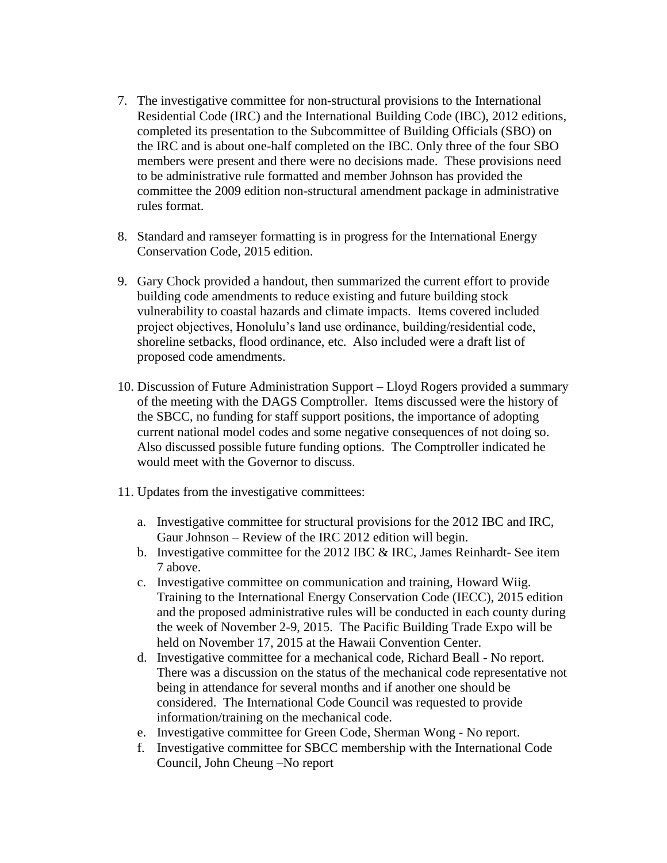- 7. The investigative committee for non-structural provisions to the International Residential Code (IRC) and the International Building Code (IBC), 2012 editions, completed its presentation to the Subcommittee of Building Officials (SBO) on the IRC and is about one-half completed on the IBC. Only three of the four SBO members were present and there were no decisions made. These provisions need to be administrative rule formatted and member Johnson has provided the committee the 2009 edition non-structural amendment package in administrative rules format.
- 8. Standard and ramseyer formatting is in progress for the International Energy Conservation Code, 2015 edition.
- 9. Gary Chock provided a handout, then summarized the current effort to provide building code amendments to reduce existing and future building stock vulnerability to coastal hazards and climate impacts. Items covered included project objectives, Honolulu's land use ordinance, building/residential code, shoreline setbacks, flood ordinance, etc. Also included were a draft list of proposed code amendments.
- 10. Discussion of Future Administration Support Lloyd Rogers provided a summary of the meeting with the DAGS Comptroller. Items discussed were the history of the SBCC, no funding for staff support positions, the importance of adopting current national model codes and some negative consequences of not doing so. Also discussed possible future funding options. The Comptroller indicated he would meet with the Governor to discuss.
- 11. Updates from the investigative committees:
	- a. Investigative committee for structural provisions for the 2012 IBC and IRC, Gaur Johnson – Review of the IRC 2012 edition will begin.
	- b. Investigative committee for the 2012 IBC  $&$  IRC, James Reinhardt- See item 7 above.
	- c. Investigative committee on communication and training, Howard Wiig. Training to the International Energy Conservation Code (IECC), 2015 edition and the proposed administrative rules will be conducted in each county during the week of November 2-9, 2015. The Pacific Building Trade Expo will be held on November 17, 2015 at the Hawaii Convention Center.
	- d. Investigative committee for a mechanical code, Richard Beall No report. There was a discussion on the status of the mechanical code representative not being in attendance for several months and if another one should be considered. The International Code Council was requested to provide information/training on the mechanical code.
	- e. Investigative committee for Green Code, Sherman Wong No report.
	- f. Investigative committee for SBCC membership with the International Code Council, John Cheung –No report